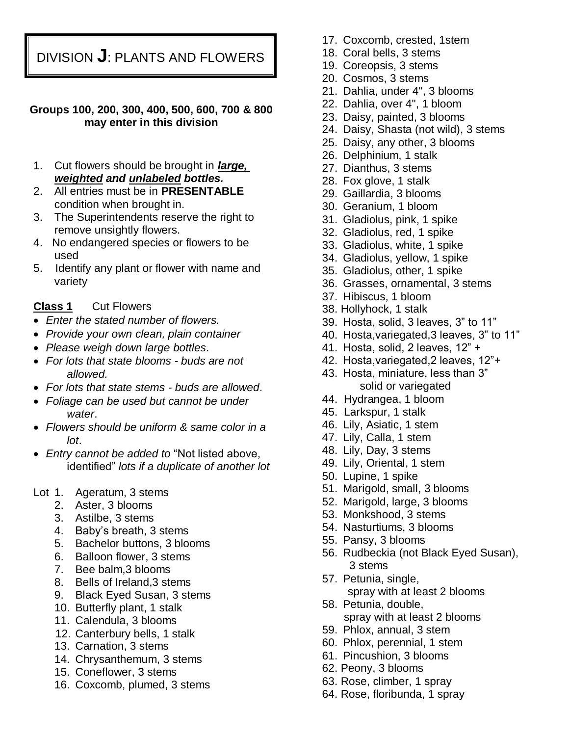DIVISION **J**: PLANTS AND FLOWERS

#### **Groups 100, 200, 300, 400, 500, 600, 700 & 800 may enter in this division**

- 1. Cut flowers should be brought in *large, weighted and unlabeled bottles.*
- 2. All entries must be in **PRESENTABLE** condition when brought in.
- 3. The Superintendents reserve the right to remove unsightly flowers.
- 4. No endangered species or flowers to be used
- 5. Identify any plant or flower with name and variety

### **Class 1** Cut Flowers

- *Enter the stated number of flowers.*
- *Provide your own clean, plain container*
- *Please weigh down large bottles*.
- *For lots that state blooms - buds are not allowed.*
- *For lots that state stems - buds are allowed*.
- *Foliage can be used but cannot be under water*.
- *Flowers should be uniform & same color in a lot*.
- *Entry cannot be added to* "Not listed above, identified" *lots if a duplicate of another lot*
- Lot 1. Ageratum, 3 stems
	- 2. Aster, 3 blooms
	- 3. Astilbe, 3 stems
	- 4. Baby's breath, 3 stems
	- 5. Bachelor buttons, 3 blooms
	- 6. Balloon flower, 3 stems
	- 7. Bee balm,3 blooms
	- 8. Bells of Ireland,3 stems
	- 9. Black Eyed Susan, 3 stems
	- 10. Butterfly plant, 1 stalk
	- 11. Calendula, 3 blooms
	- 12. Canterbury bells, 1 stalk
	- 13. Carnation, 3 stems
	- 14. Chrysanthemum, 3 stems
	- 15. Coneflower, 3 stems
	- 16. Coxcomb, plumed, 3 stems
- 17. Coxcomb, crested, 1stem
- 18. Coral bells, 3 stems
- 19. Coreopsis, 3 stems
- 20. Cosmos, 3 stems
- 21. Dahlia, under 4", 3 blooms
- 22. Dahlia, over 4", 1 bloom
- 23. Daisy, painted, 3 blooms
- 24. Daisy, Shasta (not wild), 3 stems
- 25. Daisy, any other, 3 blooms
- 26. Delphinium, 1 stalk
- 27. Dianthus, 3 stems
- 28. Fox glove, 1 stalk
- 29. Gaillardia, 3 blooms
- 30. Geranium, 1 bloom
- 31. Gladiolus, pink, 1 spike
- 32. Gladiolus, red, 1 spike
- 33. Gladiolus, white, 1 spike
- 34. Gladiolus, yellow, 1 spike
- 35. Gladiolus, other, 1 spike
- 36. Grasses, ornamental, 3 stems
- 37. Hibiscus, 1 bloom
- 38. Hollyhock, 1 stalk
- 39. Hosta, solid, 3 leaves, 3" to 11"
- 40. Hosta,variegated,3 leaves, 3" to 11"
- 41. Hosta, solid, 2 leaves, 12" +
- 42. Hosta,variegated,2 leaves, 12"+
- 43. Hosta, miniature, less than 3" solid or variegated
- 44. Hydrangea, 1 bloom
- 45. Larkspur, 1 stalk
- 46. Lily, Asiatic, 1 stem
- 47. Lily, Calla, 1 stem
- 48. Lily, Day, 3 stems
- 49. Lily, Oriental, 1 stem
- 50. Lupine, 1 spike
- 51. Marigold, small, 3 blooms
- 52. Marigold, large, 3 blooms
- 53. Monkshood, 3 stems
- 54. Nasturtiums, 3 blooms
- 55. Pansy, 3 blooms
- 56. Rudbeckia (not Black Eyed Susan), 3 stems
- 57. Petunia, single, spray with at least 2 blooms
- 58. Petunia, double, spray with at least 2 blooms
- 59. Phlox, annual, 3 stem
- 60. Phlox, perennial, 1 stem
- 61. Pincushion, 3 blooms
- 62. Peony, 3 blooms
- 63. Rose, climber, 1 spray
- 64. Rose, floribunda, 1 spray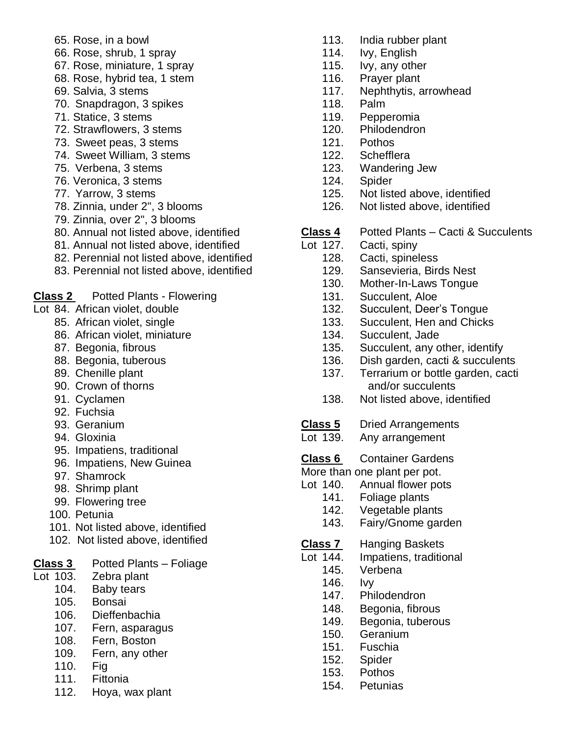- 65. Rose, in a bowl
- 66. Rose, shrub, 1 spray
- 67. Rose, miniature, 1 spray
- 68. Rose, hybrid tea, 1 stem
- 69. Salvia, 3 stems
- 70. Snapdragon, 3 spikes
- 71. Statice, 3 stems
- 72. Strawflowers, 3 stems
- 73. Sweet peas, 3 stems
- 74. Sweet William, 3 stems
- 75. Verbena, 3 stems
- 76. Veronica, 3 stems
- 77. Yarrow, 3 stems
- 78. Zinnia, under 2", 3 blooms
- 79. Zinnia, over 2", 3 blooms
- 80. Annual not listed above, identified
- 81. Annual not listed above, identified
- 82. Perennial not listed above, identified
- 83. Perennial not listed above, identified

**Class 2** Potted Plants - Flowering

- Lot 84. African violet, double
	- 85. African violet, single
	- 86. African violet, miniature
	- 87. Begonia, fibrous
	- 88. Begonia, tuberous
	- 89. Chenille plant
	- 90. Crown of thorns
	- 91. Cyclamen
	- 92. Fuchsia
	- 93. Geranium
	- 94. Gloxinia
	- 95. Impatiens, traditional
	- 96. Impatiens, New Guinea
	- 97. Shamrock
	- 98. Shrimp plant
	- 99. Flowering tree
	- 100. Petunia
	- 101. Not listed above, identified
	- 102. Not listed above, identified

# **Class 3** Potted Plants – Foliage

- Lot 103. Zebra plant
	- 104. Baby tears
	- 105. Bonsai
	- 106. Dieffenbachia
	- 107. Fern, asparagus
	- 108. Fern, Boston
	- 109. Fern, any other
	- 110. Fig
	- 111. Fittonia
	- 112. Hoya, wax plant
- 113. India rubber plant
- 114. Ivy, English
- 115. Ivy, any other
- 116. Prayer plant
- 117. Nephthytis, arrowhead
- 118. Palm
- 119. Pepperomia
- 120. Philodendron
- 121. Pothos
- 122. Schefflera
- 123. Wandering Jew
- 124. Spider
- 125. Not listed above, identified
- 126. Not listed above, identified
- **Class 4** Potted Plants Cacti & Succulents
- Lot 127. Cacti, spiny
	- 128. Cacti, spineless
	- 129. Sansevieria, Birds Nest
	- 130. Mother-In-Laws Tongue
	- 131. Succulent, Aloe
	- 132. Succulent, Deer's Tongue
	- 133. Succulent, Hen and Chicks
	- 134. Succulent, Jade
	- 135. Succulent, any other, identify
	- 136. Dish garden, cacti & succulents
	- 137. Terrarium or bottle garden, cacti and/or succulents
	- 138. Not listed above, identified
- **Class 5** Dried Arrangements
- Lot 139. Any arrangement

### **Class 6** Container Gardens

- More than one plant per pot.
- Lot 140. Annual flower pots
	- 141. Foliage plants
	- 142. Vegetable plants
	- 143. Fairy/Gnome garden
- Class<sub>7</sub> **Class 7** Hanging Baskets
- Lot 144. Impatiens, traditional
	- 145. Verbena
	- 146. Ivy
	- 147. Philodendron
	- 148. Begonia, fibrous
	- 149. Begonia, tuberous
	- 150. Geranium
	- 151. Fuschia
	- 152. Spider
	- 153. Pothos
	- 154. Petunias